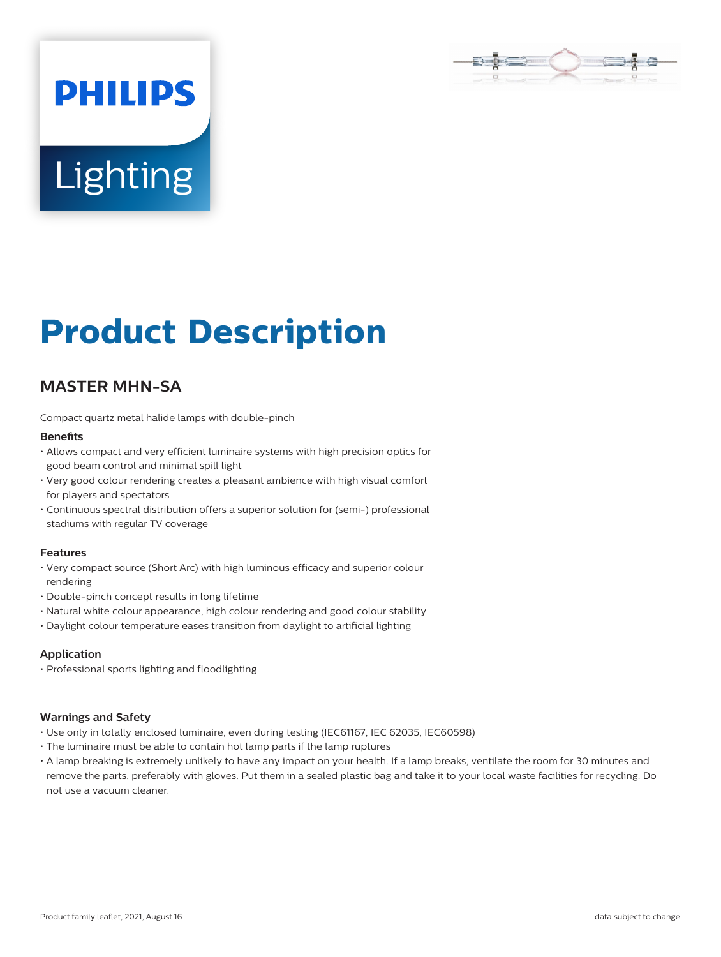

# **Lighting**

**PHILIPS** 

# **Product Description**

# **MASTER MHN-SA**

Compact quartz metal halide lamps with double-pinch

#### **Benefits**

- Allows compact and very efficient luminaire systems with high precision optics for good beam control and minimal spill light
- Very good colour rendering creates a pleasant ambience with high visual comfort for players and spectators
- Continuous spectral distribution offers a superior solution for (semi-) professional stadiums with regular TV coverage

#### **Features**

- Very compact source (Short Arc) with high luminous efficacy and superior colour rendering
- Double-pinch concept results in long lifetime
- Natural white colour appearance, high colour rendering and good colour stability
- Daylight colour temperature eases transition from daylight to artificial lighting

# **Application**

• Professional sports lighting and floodlighting

#### **Warnings and Safety**

- Use only in totally enclosed luminaire, even during testing (IEC61167, IEC 62035, IEC60598)
- The luminaire must be able to contain hot lamp parts if the lamp ruptures
- A lamp breaking is extremely unlikely to have any impact on your health. If a lamp breaks, ventilate the room for 30 minutes and remove the parts, preferably with gloves. Put them in a sealed plastic bag and take it to your local waste facilities for recycling. Do not use a vacuum cleaner.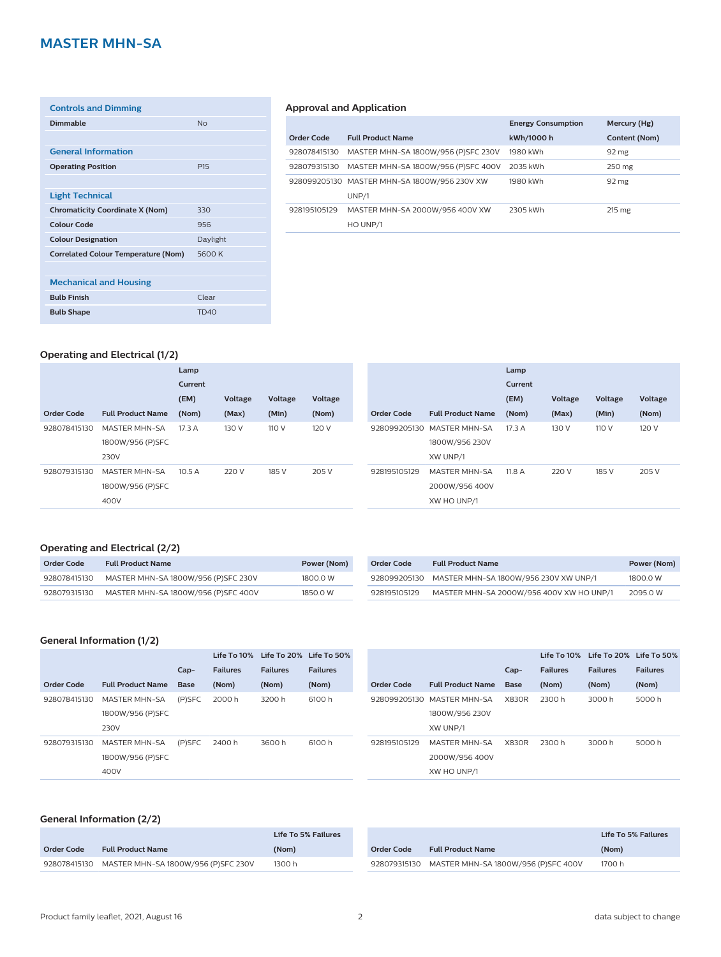# **MASTER MHN-SA**

| <b>Controls and Dimming</b>                |                 |
|--------------------------------------------|-----------------|
| <b>Dimmable</b>                            | N <sub>0</sub>  |
|                                            |                 |
| <b>General Information</b>                 |                 |
| <b>Operating Position</b>                  | P <sub>15</sub> |
|                                            |                 |
| <b>Light Technical</b>                     |                 |
| <b>Chromaticity Coordinate X (Nom)</b>     | 330             |
| <b>Colour Code</b>                         | 956             |
| <b>Colour Designation</b>                  | Daylight        |
| <b>Correlated Colour Temperature (Nom)</b> | 5600K           |
|                                            |                 |
| <b>Mechanical and Housing</b>              |                 |
| <b>Bulb Finish</b>                         | Clear           |
| <b>Bulb Shape</b>                          | <b>TD40</b>     |

#### **Approval and Application**

|              |                                              | <b>Energy Consumption</b> | Mercury (Hg)     |
|--------------|----------------------------------------------|---------------------------|------------------|
| Order Code   | <b>Full Product Name</b>                     | kWh/1000 h                | Content (Nom)    |
| 928078415130 | MASTER MHN-SA 1800W/956 (P)SFC 230V          | 1980 kWh                  | 92 mg            |
| 928079315130 | MASTER MHN-SA 1800W/956 (P)SFC 400V          | 2035 kWh                  | 250 mg           |
|              | 928099205130 MASTER MHN-SA 1800W/956 230V XW | 1980 kWh                  | $92 \text{ mg}$  |
|              | UNP/1                                        |                           |                  |
| 928195105129 | MASTER MHN-SA 2000W/956 400V XW              | 2305 kWh                  | $215 \text{ mg}$ |
|              | HO UNP/1                                     |                           |                  |

# **Operating and Electrical (1/2)**

|              |                          | Lamp    |         |         |         |              |                            | Lamp    |         |         |         |
|--------------|--------------------------|---------|---------|---------|---------|--------------|----------------------------|---------|---------|---------|---------|
|              |                          | Current |         |         |         |              |                            | Current |         |         |         |
|              |                          | (EM)    | Voltage | Voltage | Voltage |              |                            | (EM)    | Voltage | Voltage | Voltage |
| Order Code   | <b>Full Product Name</b> | (Nom)   | (Max)   | (Min)   | (Nom)   | Order Code   | <b>Full Product Name</b>   | (Nom)   | (Max)   | (Min)   | (Nom)   |
| 928078415130 | <b>MASTER MHN-SA</b>     | 17.3 A  | 130 V   | 110 V   | 120 V   |              | 928099205130 MASTER MHN-SA | 17.3 A  | 130 V   | 110 V   | 120 V   |
|              | 1800W/956 (P)SFC         |         |         |         |         |              | 1800W/956 230V             |         |         |         |         |
|              | 230V                     |         |         |         |         |              | XW UNP/1                   |         |         |         |         |
| 928079315130 | <b>MASTER MHN-SA</b>     | 10.5A   | 220 V   | 185 V   | 205 V   | 928195105129 | <b>MASTER MHN-SA</b>       | 11.8 A  | 220 V   | 185 V   | 205 V   |
|              | 1800W/956 (P)SFC         |         |         |         |         |              | 2000W/956 400V             |         |         |         |         |
|              | 400V                     |         |         |         |         |              | XW HO UNP/1                |         |         |         |         |
|              |                          |         |         |         |         |              |                            |         |         |         |         |

# **Operating and Electrical (2/2)**

| Order Code   | <b>Full Product Name</b>            | Power (Nom) |
|--------------|-------------------------------------|-------------|
| 928078415130 | MASTER MHN-SA 1800W/956 (P)SFC 230V | 1800.0 W    |
| 928079315130 | MASTER MHN-SA 1800W/956 (P)SFC 400V | 1850 O W    |

| Order Code   | <b>Full Product Name</b>                 | Power (Nom) |
|--------------|------------------------------------------|-------------|
| 928099205130 | MASTER MHN-SA 1800W/956 230V XW UNP/1    | 1800.0 W    |
| 928195105129 | MASTER MHN-SA 2000W/956 400V XW HO UNP/1 | 2095.0 W    |

# **General Information (1/2)**

|                   |                          |             |                 | Life To 10% Life To 20% Life To 50% |                 |
|-------------------|--------------------------|-------------|-----------------|-------------------------------------|-----------------|
|                   |                          | $Cap-$      | <b>Failures</b> | <b>Failures</b>                     | <b>Failures</b> |
| <b>Order Code</b> | <b>Full Product Name</b> | <b>Base</b> | (Nom)           | (Nom)                               | (Nom)           |
| 928078415130      | <b>MASTER MHN-SA</b>     | $(P)$ SFC   | 2000 h          | 3200 h                              | 6100 h          |
|                   | 1800W/956 (P)SFC         |             |                 |                                     |                 |
|                   | 230V                     |             |                 |                                     |                 |
| 928079315130      | <b>MASTER MHN-SA</b>     | (P)SFC      | 2400 h          | 3600 h                              | 6100 h          |
|                   | 1800W/956 (P)SFC         |             |                 |                                     |                 |
|                   | 400V                     |             |                 |                                     |                 |

|              |                            |              | Life To 10%     | Life To 20% Life To 50% |                 |
|--------------|----------------------------|--------------|-----------------|-------------------------|-----------------|
|              |                            | $Cap-$       | <b>Failures</b> | <b>Failures</b>         | <b>Failures</b> |
| Order Code   | <b>Full Product Name</b>   | <b>Base</b>  | (Nom)           | (Nom)                   | (Nom)           |
|              | 928099205130 MASTER MHN-SA | <b>X830R</b> | 2300 h          | 3000 h                  | 5000 h          |
|              | 1800W/956 230V             |              |                 |                         |                 |
|              | XW UNP/1                   |              |                 |                         |                 |
| 928195105129 | <b>MASTER MHN-SA</b>       | <b>X830R</b> | 2300 h          | 3000 h                  | 5000 h          |
|              | 2000W/956 400V             |              |                 |                         |                 |
|              | XW HO UNP/1                |              |                 |                         |                 |

### **General Information (2/2)**

|            |                                                  | Life To 5% Failures |            | Life To 5% Failures                              |        |
|------------|--------------------------------------------------|---------------------|------------|--------------------------------------------------|--------|
| Order Code | <b>Full Product Name</b>                         | (Nom)               | Order Code | <b>Full Product Name</b>                         | (Nom)  |
|            | 928078415130 MASTER MHN-SA 1800W/956 (P)SFC 230V | 1300 h              |            | 928079315130 MASTER MHN-SA 1800W/956 (P)SFC 400V | 1700 h |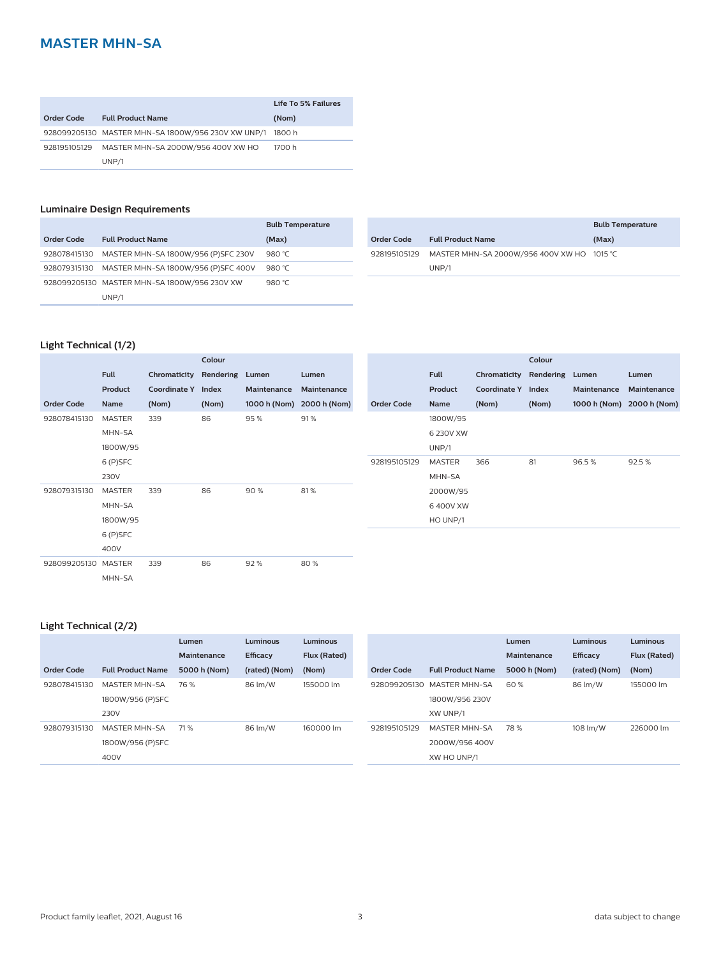# **MASTER MHN-SA**

|              |                                                    | Life To 5% Failures |
|--------------|----------------------------------------------------|---------------------|
| Order Code   | <b>Full Product Name</b>                           | (Nom)               |
|              | 928099205130 MASTER MHN-SA 1800W/956 230V XW UNP/1 | 1800 h              |
| 928195105129 | MASTER MHN-SA 2000W/956 400V XW HO                 | 1700 h              |
|              | UNP/1                                              |                     |

# **Luminaire Design Requirements**

|              |                                              | <b>Bulb Temperature</b> |
|--------------|----------------------------------------------|-------------------------|
| Order Code   | <b>Full Product Name</b>                     | (Max)                   |
| 928078415130 | MASTER MHN-SA 1800W/956 (P)SFC 230V          | 980 $°C$                |
| 928079315130 | MASTER MHN-SA 1800W/956 (P)SFC 400V          | 980 $°C$                |
|              | 928099205130 MASTER MHN-SA 1800W/956 230V XW | 980 $°C$                |
|              | UNP/1                                        |                         |

|              |                                            | <b>Bulb Temperature</b> |
|--------------|--------------------------------------------|-------------------------|
| Order Code   | <b>Full Product Name</b>                   | (Max)                   |
| 928195105129 | MASTER MHN-SA 2000W/956 400V XW HO 1015 °C |                         |
|              | UNP/1                                      |                         |

# **Light Technical (1/2)**

|                     |               |                    | Colour    |              |              |                   |               |                     | Colour    |             |                           |
|---------------------|---------------|--------------------|-----------|--------------|--------------|-------------------|---------------|---------------------|-----------|-------------|---------------------------|
|                     | <b>Full</b>   | Chromaticity       | Rendering | Lumen        | Lumen        |                   | <b>Full</b>   | Chromaticity        | Rendering | Lumen       | Lumen                     |
|                     | Product       | Coordinate Y Index |           | Maintenance  | Maintenance  |                   | Product       | <b>Coordinate Y</b> | Index     | Maintenance | Maintenance               |
| <b>Order Code</b>   | Name          | (Nom)              | (Nom)     | 1000 h (Nom) | 2000 h (Nom) | <b>Order Code</b> | Name          | (Nom)               | (Nom)     |             | 1000 h (Nom) 2000 h (Nom) |
| 928078415130        | <b>MASTER</b> | 339                | 86        | 95%          | 91%          |                   | 1800W/95      |                     |           |             |                           |
|                     | MHN-SA        |                    |           |              |              |                   | 6 230V XW     |                     |           |             |                           |
|                     | 1800W/95      |                    |           |              |              |                   | UNP/1         |                     |           |             |                           |
|                     | 6 (P)SFC      |                    |           |              |              | 928195105129      | <b>MASTER</b> | 366                 | 81        | 96.5%       | 92.5%                     |
|                     | 230V          |                    |           |              |              |                   | MHN-SA        |                     |           |             |                           |
| 928079315130        | <b>MASTER</b> | 339                | 86        | 90%          | 81%          |                   | 2000W/95      |                     |           |             |                           |
|                     | MHN-SA        |                    |           |              |              |                   | 6400V XW      |                     |           |             |                           |
|                     | 1800W/95      |                    |           |              |              |                   | HO UNP/1      |                     |           |             |                           |
|                     | 6 (P)SFC      |                    |           |              |              |                   |               |                     |           |             |                           |
|                     | 400V          |                    |           |              |              |                   |               |                     |           |             |                           |
| 928099205130 MASTER |               | 339                | 86        | 92%          | 80%          |                   |               |                     |           |             |                           |
|                     | MHN-SA        |                    |           |              |              |                   |               |                     |           |             |                           |

#### **Light Technical (2/2)**

|                   |                          | Lumen        | <b>Luminous</b> | <b>Luminous</b> |              |                          | Lumen        | <b>Luminous</b> | <b>Luminous</b> |
|-------------------|--------------------------|--------------|-----------------|-----------------|--------------|--------------------------|--------------|-----------------|-----------------|
|                   |                          | Maintenance  | <b>Efficacy</b> | Flux (Rated)    |              |                          | Maintenance  | <b>Efficacy</b> | Flux (Rated)    |
| <b>Order Code</b> | <b>Full Product Name</b> | 5000 h (Nom) | (rated) (Nom)   | (Nom)           | Order Code   | <b>Full Product Name</b> | 5000 h (Nom) | (rated) (Nom)   | (Nom)           |
| 928078415130      | <b>MASTER MHN-SA</b>     | 76 %         | 86 lm/W         | 155000 lm       | 928099205130 | MASTER MHN-SA            | 60%          | 86 lm/W         | 155000 lm       |
|                   | 1800W/956 (P)SFC         |              |                 |                 |              | 1800W/956 230V           |              |                 |                 |
|                   | 230V                     |              |                 |                 |              | XW UNP/1                 |              |                 |                 |
| 928079315130      | MASTER MHN-SA            | 71 %         | 86 lm/W         | 160000 lm       | 928195105129 | <b>MASTER MHN-SA</b>     | 78%          | 108 lm/W        | 226000 lm       |
|                   | 1800W/956 (P)SFC         |              |                 |                 |              | 2000W/956 400V           |              |                 |                 |
|                   | 400V                     |              |                 |                 |              | XW HO UNP/1              |              |                 |                 |
|                   |                          |              |                 |                 |              |                          |              |                 |                 |